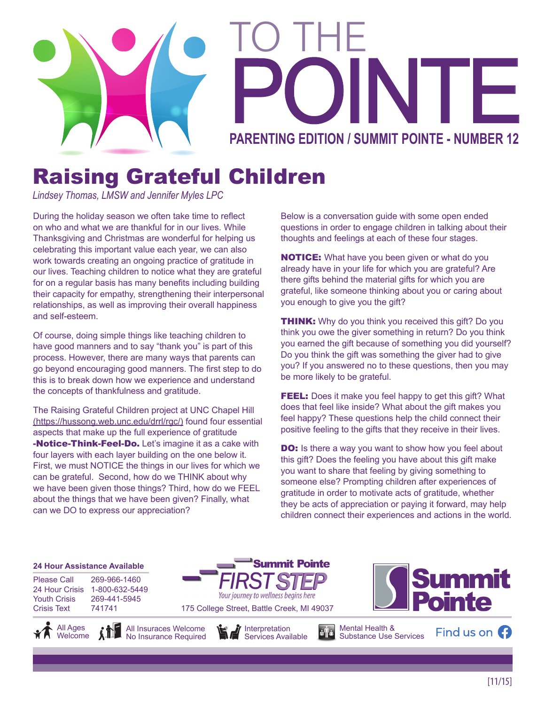

# PARENTING EDITION / SUMMIT POINTE - NUMBER 12 TO THE

## Raising Grateful Children

*Lindsey Thomas, LMSW and Jennifer Myles LPC*

During the holiday season we often take time to reflect on who and what we are thankful for in our lives. While Thanksgiving and Christmas are wonderful for helping us celebrating this important value each year, we can also work towards creating an ongoing practice of gratitude in our lives. Teaching children to notice what they are grateful for on a regular basis has many benefits including building their capacity for empathy, strengthening their interpersonal relationships, as well as improving their overall happiness and self-esteem.

Of course, doing simple things like teaching children to have good manners and to say "thank you" is part of this process. However, there are many ways that parents can go beyond encouraging good manners. The first step to do this is to break down how we experience and understand the concepts of thankfulness and gratitude.

The Raising Grateful Children project at UNC Chapel Hill (https://hussong.web.unc.edu/drrl/rgc/) found four essential aspects that make up the full experience of gratitude **-Notice-Think-Feel-Do.** Let's imagine it as a cake with four layers with each layer building on the one below it. First, we must NOTICE the things in our lives for which we can be grateful. Second, how do we THINK about why we have been given those things? Third, how do we FEEL about the things that we have been given? Finally, what can we DO to express our appreciation?

Below is a conversation guide with some open ended questions in order to engage children in talking about their thoughts and feelings at each of these four stages.

**NOTICE:** What have you been given or what do you already have in your life for which you are grateful? Are there gifts behind the material gifts for which you are grateful, like someone thinking about you or caring about you enough to give you the gift?

**THINK:** Why do you think you received this gift? Do you think you owe the giver something in return? Do you think you earned the gift because of something you did yourself? Do you think the gift was something the giver had to give you? If you answered no to these questions, then you may be more likely to be grateful.

FEEL: Does it make you feel happy to get this gift? What does that feel like inside? What about the gift makes you feel happy? These questions help the child connect their positive feeling to the gifts that they receive in their lives.

**DO:** Is there a way you want to show how you feel about this gift? Does the feeling you have about this gift make you want to share that feeling by giving something to someone else? Prompting children after experiences of gratitude in order to motivate acts of gratitude, whether they be acts of appreciation or paying it forward, may help children connect their experiences and actions in the world.

#### **24 Hour Assistance Available**

Please Call 269-966-1460 24 Hour Crisis 1-800-632-5449 Youth Crisis 269-441-5945 Crisis Text 741741

All Ages **Welcome** No Insurance Required





Your journey to wellness begins here

**Summit Pointe** 



Mental Health & Substance Use Services

Find us on  $\Omega$